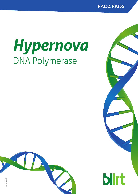**RP232, RP235**

# *Hypernova* DNA Polymerase



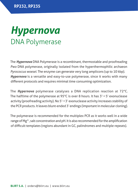### *Hypernova* DNA Polymerase

The *Hypernova* DNA Polymerase is a recombinant, thermostable and proofreading *Pwo* DNA polymerase, originally isolated from the hyperthermophilic archaeon *Pyrococcus woesei*. The enzyme can generate very long amplicons (up to 10 kbp). *Hypernova* is a versatile and easy-to-use polymerase, since it works with many different protocols and requires minimal time consuming optimization.

The *Hypernova* polymerase catalyses a DNA replication reaction at 72°C. The halftime of the polymerase at 95°C is over 8 hours. It has  $3' \rightarrow 5'$  exonuclease activity (proofreading activity). No  $5' \rightarrow 3'$  exonuclease activity increases stability of the PCR products. It leaves blunt-ended 3' endings (important in molecular cloning).

The polymerase is recommended for the multiplex PCR as it works well in a wide range of Mg2+, salt concentration and pH. It is also recommended for the amplification of difficult templates (regions abundant in GC, palindromes and multiple repeats).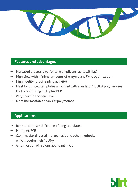

#### **Features and advantages**

- Increased processivity (for long amplicons, up to 10 kbp)
- $\rightarrow$  High yield with minimal amounts of enzyme and little optimization
- $\rightarrow$  High fidelity (proofreading activity)
- $\rightarrow$  Ideal for difficult templates which fail with standard *Taq* DNA polymerases
- Fool proof during multiplex PCR
- Very specific and sensitive
- p More thermostable than *Taq* polymerase

#### **Applications**

- Reproducible amplification of long templates
- **Multiplex PCR**
- p Cloning, site-directed mutagenesis and other methods, which require high fidelity
- Amplification of regions abundant in GC

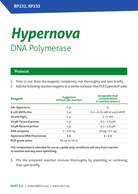## *Hypernova* DNA Polymerase

#### **Protocol**

- 1. Prior to use, thaw the reagents completely, mix thoroughly and spin briefly.
- 2. Add the following reaction reagents to a sterile nuclease-free PCR Eppendorf tube:

| Reagent                  | <b>Suggested</b><br>amount per reaction | <b>Acceptable final</b><br>concentrations<br>in reaction mixture |
|--------------------------|-----------------------------------------|------------------------------------------------------------------|
| 10x Hypernova            | $5 \mu l$                               | 1x                                                               |
| 8 mM dNTPs Mix           | $5 \mu l$                               | $0.2 - 0.25$ mM of each dNTP                                     |
| 50 mM MgCl,              | $2 \mu l$                               | $2 - 5$ mM                                                       |
| 10 µM Forward primer     | $1 \mu l$                               | $0.1 - 1.0 \mu M$                                                |
| 10 µM Reverse primer     | $1 \mu l$                               | $0.1 - 1.0 \mu M$                                                |
| <b>DNA</b> template      | $1 - 100$ ng                            | $10$ pg $-0.5$ µg                                                |
| Hypernova DNA Polymerase | 1 U                                     | $1 - 2U$                                                         |
| <b>PCR-grade water</b>   | fill up to 50 µl                        |                                                                  |

**This composition is intended for use as a guide only; conditions will vary from reaction to reaction and may need optimizing.**

3. Mix the prepared reaction mixture thoroughly by pipetting or vortexing, then spin briefly.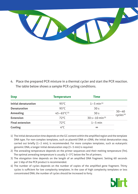

4. Place the prepared PCR mixture in a thermal cycler and start the PCR reaction. The table below shows a sample PCR cycling conditions.

| <b>Step</b>            | <b>Temperature</b>       | <b>Time</b>                |                                    |
|------------------------|--------------------------|----------------------------|------------------------------------|
| Initial denaturation   | $95^{\circ}$ C           | $1 - 5$ min <sup>(1)</sup> |                                    |
| <b>Denaturation</b>    | $95^{\circ}$ C           | 30 <sub>s</sub>            |                                    |
| Annealing              | $45 - 65^{\circ}C^{(2)}$ | 30 <sub>s</sub>            | $30 - 40$<br>cycles <sup>(4)</sup> |
| Extension              | $72^{\circ}$ C           | $30 s - 10 min^{(3)}$      |                                    |
| <b>Final extension</b> | $72^{\circ}$ C           | $1 - 5$ min                |                                    |
| Cooling                | 4°C                      | $\infty$                   |                                    |

1) The initial denaturation time depends on the GC content within the amplified region and the template DNA type. For non-complex templates, such as plasmid DNA or cDNA, the initial denaturation step, carried out briefly (1–2 min), is recommended. For more complex templates, such as eukaryotic genomic DNA, a longer initial denaturation step (3–5 min) is required.

- 2) The annealing temperature depends on the primer sequences and their melting temperature (Tm). The optimal annealing temperature is usually 2–5°C below the Tm of primers.
- 3) The elongation time depends on the length of an amplified DNA fragment. Setting 60 seconds per 1 kbp of the PCR product is recommended.
- 4) The number of cycles depends on the number of copies of the amplified gene fragment. Thirty cycles is sufficient for low complexity templates. In the case of high complexity templates or less concentrated DNA, the number of cycles should be increased to forty.

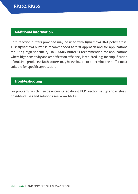#### **Additional information**

Both reaction buffers provided may be used with *Hypernova* DNA polymerase. **10x** *Hypernova* buffer is recommended as first approach and for applications requiring high specificity. **10x** *Shark* buffer is recommended for applications where high sensitivity and amplification efficiency is required (e.g. for amplification of multiple products). Both buffers may be evaluated to determine the buffer most suitable for specific application.

#### **Troubleshooting**

For problems which may be encountered during PCR reaction set up and analysis, possible causes and solutions see: www.blirt.eu.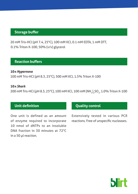#### **Storage buffer**

20 mM Tris-HCl (pH 7.4, 25°C), 100 mM KCl, 0.1 mM EDTA, 1 mM DTT, 0.1% Triton X-100, 50% (v/v) glycerol

#### **Reaction buffers**

**10x** *Hypernova* 100 mM Tris-HCl (pH 8.3, 25°C), 500 mM KCl, 1.5% Triton X-100

#### **10x** *Shark*

200 mM Tris-HCl (pH 8.3, 25°C), 100 mM KCl, 100 mM (NH<sub>4</sub>)<sub>2</sub>SO<sub>4</sub>, 1.0% Triton X-100

#### **Unit definition**

One unit is defined as an amount of enzyme required to incorporate 10 nmol of dNTPs to an insoluble DNA fraction in 30 minutes at 72°C in a 50 μl reaction.

#### **Quality control**

Extensively tested in various PCR reactions. Free of unspecific nucleases.